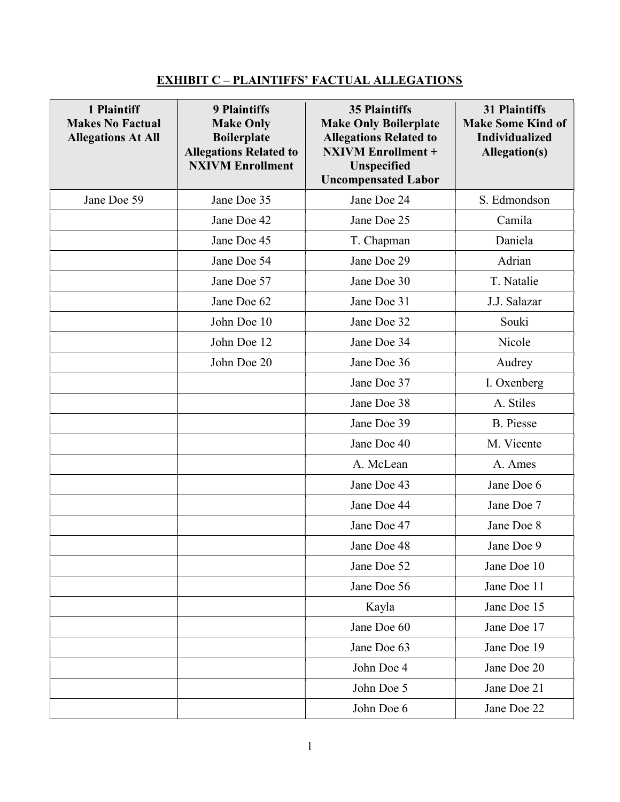## EXHIBIT C – PLAINTIFFS' FACTUAL ALLEGATIONS

| 1 Plaintiff<br><b>Makes No Factual</b><br><b>Allegations At All</b> | <b>9 Plaintiffs</b><br><b>Make Only</b><br><b>Boilerplate</b><br><b>Allegations Related to</b><br><b>NXIVM Enrollment</b> | <b>35 Plaintiffs</b><br><b>Make Only Boilerplate</b><br><b>Allegations Related to</b><br><b>NXIVM Enrollment +</b><br>Unspecified<br><b>Uncompensated Labor</b> | <b>31 Plaintiffs</b><br><b>Make Some Kind of</b><br><b>Individualized</b><br>Allegation(s) |
|---------------------------------------------------------------------|---------------------------------------------------------------------------------------------------------------------------|-----------------------------------------------------------------------------------------------------------------------------------------------------------------|--------------------------------------------------------------------------------------------|
| Jane Doe 59                                                         | Jane Doe 35                                                                                                               | Jane Doe 24                                                                                                                                                     | S. Edmondson                                                                               |
|                                                                     | Jane Doe 42                                                                                                               | Jane Doe 25                                                                                                                                                     | Camila                                                                                     |
|                                                                     | Jane Doe 45                                                                                                               | T. Chapman                                                                                                                                                      | Daniela                                                                                    |
|                                                                     | Jane Doe 54                                                                                                               | Jane Doe 29                                                                                                                                                     | Adrian                                                                                     |
|                                                                     | Jane Doe 57                                                                                                               | Jane Doe 30                                                                                                                                                     | T. Natalie                                                                                 |
|                                                                     | Jane Doe 62                                                                                                               | Jane Doe 31                                                                                                                                                     | J.J. Salazar                                                                               |
|                                                                     | John Doe 10                                                                                                               | Jane Doe 32                                                                                                                                                     | Souki                                                                                      |
|                                                                     | John Doe 12                                                                                                               | Jane Doe 34                                                                                                                                                     | Nicole                                                                                     |
|                                                                     | John Doe 20                                                                                                               | Jane Doe 36                                                                                                                                                     | Audrey                                                                                     |
|                                                                     |                                                                                                                           | Jane Doe 37                                                                                                                                                     | I. Oxenberg                                                                                |
|                                                                     |                                                                                                                           | Jane Doe 38                                                                                                                                                     | A. Stiles                                                                                  |
|                                                                     |                                                                                                                           | Jane Doe 39                                                                                                                                                     | <b>B.</b> Piesse                                                                           |
|                                                                     |                                                                                                                           | Jane Doe 40                                                                                                                                                     | M. Vicente                                                                                 |
|                                                                     |                                                                                                                           | A. McLean                                                                                                                                                       | A. Ames                                                                                    |
|                                                                     |                                                                                                                           | Jane Doe 43                                                                                                                                                     | Jane Doe 6                                                                                 |
|                                                                     |                                                                                                                           | Jane Doe 44                                                                                                                                                     | Jane Doe 7                                                                                 |
|                                                                     |                                                                                                                           | Jane Doe 47                                                                                                                                                     | Jane Doe 8                                                                                 |
|                                                                     |                                                                                                                           | Jane Doe 48                                                                                                                                                     | Jane Doe 9                                                                                 |
|                                                                     |                                                                                                                           | Jane Doe 52                                                                                                                                                     | Jane Doe 10                                                                                |
|                                                                     |                                                                                                                           | Jane Doe 56                                                                                                                                                     | Jane Doe 11                                                                                |
|                                                                     |                                                                                                                           | Kayla                                                                                                                                                           | Jane Doe 15                                                                                |
|                                                                     |                                                                                                                           | Jane Doe 60                                                                                                                                                     | Jane Doe 17                                                                                |
|                                                                     |                                                                                                                           | Jane Doe 63                                                                                                                                                     | Jane Doe 19                                                                                |
|                                                                     |                                                                                                                           | John Doe 4                                                                                                                                                      | Jane Doe 20                                                                                |
|                                                                     |                                                                                                                           | John Doe 5                                                                                                                                                      | Jane Doe 21                                                                                |
|                                                                     |                                                                                                                           | John Doe 6                                                                                                                                                      | Jane Doe 22                                                                                |